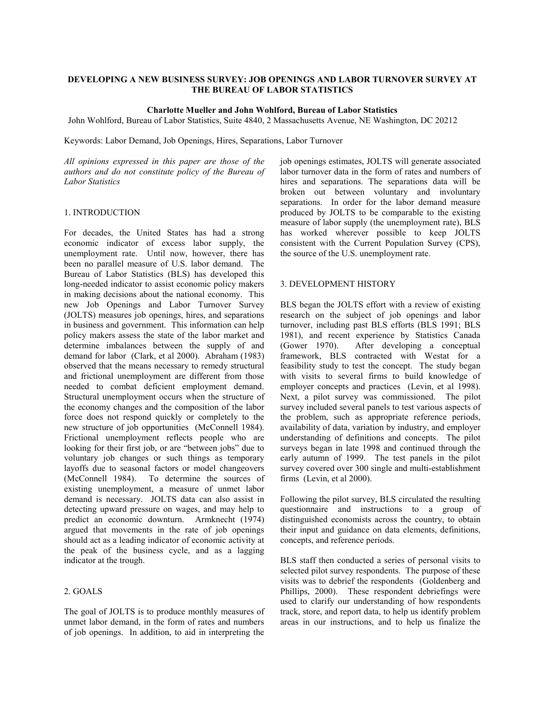### **DEVELOPING A NEW BUSINESS SURVEY: JOB OPENINGS AND LABOR TURNOVER SURVEY AT THE BUREAU OF LABOR STATISTICS**

#### **Charlotte Mueller and John Wohlford, Bureau of Labor Statistics**

John Wohlford, Bureau of Labor Statistics, Suite 4840, 2 Massachusetts Avenue, NE Washington, DC 20212

Keywords: Labor Demand, Job Openings, Hires, Separations, Labor Turnover

*All opinions expressed in this paper are those of the authors and do not constitute policy of the Bureau of Labor Statistics* 

### 1. INTRODUCTION

For decades, the United States has had a strong economic indicator of excess labor supply, the unemployment rate. Until now, however, there has been no parallel measure of U.S. labor demand. The Bureau of Labor Statistics (BLS) has developed this long-needed indicator to assist economic policy makers in making decisions about the national economy. This new Job Openings and Labor Turnover Survey (JOLTS) measures job openings, hires, and separations in business and government. This information can help policy makers assess the state of the labor market and determine imbalances between the supply of and demand for labor (Clark, et al 2000). Abraham (1983) observed that the means necessary to remedy structural and frictional unemployment are different from those needed to combat deficient employment demand. Structural unemployment occurs when the structure of the economy changes and the composition of the labor force does not respond quickly or completely to the new structure of job opportunities (McConnell 1984). Frictional unemployment reflects people who are looking for their first job, or are "between jobs" due to voluntary job changes or such things as temporary layoffs due to seasonal factors or model changeovers (McConnell 1984). To determine the sources of existing unemployment, a measure of unmet labor demand is necessary. JOLTS data can also assist in detecting upward pressure on wages, and may help to predict an economic downturn. Armknecht (1974) argued that movements in the rate of job openings should act as a leading indicator of economic activity at the peak of the business cycle, and as a lagging indicator at the trough.

### 2. GOALS

The goal of JOLTS is to produce monthly measures of unmet labor demand, in the form of rates and numbers of job openings. In addition, to aid in interpreting the

job openings estimates, JOLTS will generate associated labor turnover data in the form of rates and numbers of hires and separations. The separations data will be broken out between voluntary and involuntary separations. In order for the labor demand measure produced by JOLTS to be comparable to the existing measure of labor supply (the unemployment rate), BLS has worked wherever possible to keep JOLTS consistent with the Current Population Survey (CPS), the source of the U.S. unemployment rate.

#### 3. DEVELOPMENT HISTORY

BLS began the JOLTS effort with a review of existing research on the subject of job openings and labor turnover, including past BLS efforts (BLS 1991; BLS 1981), and recent experience by Statistics Canada (Gower 1970). After developing a conceptual framework, BLS contracted with Westat for a feasibility study to test the concept. The study began with visits to several firms to build knowledge of employer concepts and practices (Levin, et al 1998). Next, a pilot survey was commissioned. The pilot survey included several panels to test various aspects of the problem, such as appropriate reference periods, availability of data, variation by industry, and employer understanding of definitions and concepts. The pilot surveys began in late 1998 and continued through the early autumn of 1999. The test panels in the pilot survey covered over 300 single and multi-establishment firms (Levin, et al 2000).

Following the pilot survey, BLS circulated the resulting questionnaire and instructions to a group of distinguished economists across the country, to obtain their input and guidance on data elements, definitions, concepts, and reference periods.

BLS staff then conducted a series of personal visits to selected pilot survey respondents. The purpose of these visits was to debrief the respondents (Goldenberg and Phillips, 2000). These respondent debriefings were used to clarify our understanding of how respondents track, store, and report data, to help us identify problem areas in our instructions, and to help us finalize the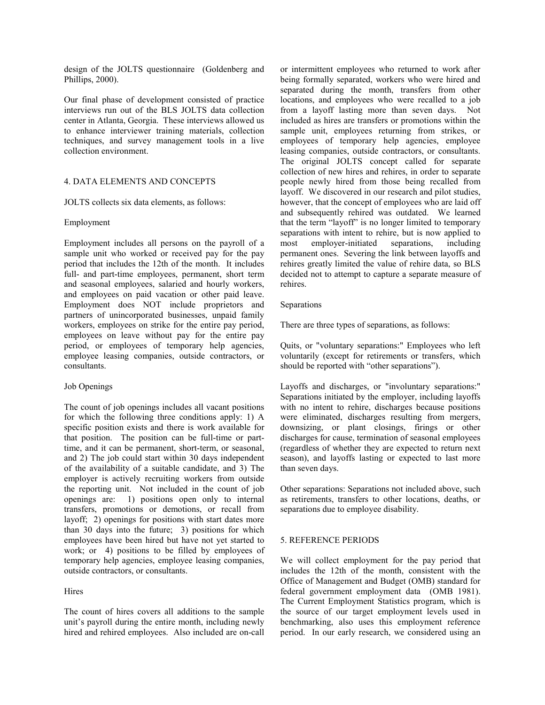design of the JOLTS questionnaire (Goldenberg and Phillips, 2000).

Our final phase of development consisted of practice interviews run out of the BLS JOLTS data collection center in Atlanta, Georgia. These interviews allowed us to enhance interviewer training materials, collection techniques, and survey management tools in a live collection environment.

### 4. DATA ELEMENTS AND CONCEPTS

JOLTS collects six data elements, as follows:

## Employment

Employment includes all persons on the payroll of a sample unit who worked or received pay for the pay period that includes the 12th of the month. It includes full- and part-time employees, permanent, short term and seasonal employees, salaried and hourly workers, and employees on paid vacation or other paid leave. Employment does NOT include proprietors and partners of unincorporated businesses, unpaid family workers, employees on strike for the entire pay period, employees on leave without pay for the entire pay period, or employees of temporary help agencies, employee leasing companies, outside contractors, or consultants.

# Job Openings

The count of job openings includes all vacant positions for which the following three conditions apply: 1) A specific position exists and there is work available for that position. The position can be full-time or parttime, and it can be permanent, short-term, or seasonal, and 2) The job could start within 30 days independent of the availability of a suitable candidate, and 3) The employer is actively recruiting workers from outside the reporting unit. Not included in the count of job openings are: 1) positions open only to internal transfers, promotions or demotions, or recall from layoff; 2) openings for positions with start dates more than 30 days into the future; 3) positions for which employees have been hired but have not yet started to work; or 4) positions to be filled by employees of temporary help agencies, employee leasing companies, outside contractors, or consultants.

# **Hires**

The count of hires covers all additions to the sample unit's payroll during the entire month, including newly hired and rehired employees. Also included are on-call or intermittent employees who returned to work after being formally separated, workers who were hired and separated during the month, transfers from other locations, and employees who were recalled to a job from a layoff lasting more than seven days. Not included as hires are transfers or promotions within the sample unit, employees returning from strikes, or employees of temporary help agencies, employee leasing companies, outside contractors, or consultants. The original JOLTS concept called for separate collection of new hires and rehires, in order to separate people newly hired from those being recalled from layoff. We discovered in our research and pilot studies, however, that the concept of employees who are laid off and subsequently rehired was outdated. We learned that the term "layoff" is no longer limited to temporary separations with intent to rehire, but is now applied to most employer-initiated separations, including permanent ones. Severing the link between layoffs and rehires greatly limited the value of rehire data, so BLS decided not to attempt to capture a separate measure of rehires.

## Separations

There are three types of separations, as follows:

Quits, or "voluntary separations:" Employees who left voluntarily (except for retirements or transfers, which should be reported with "other separations").

Layoffs and discharges, or "involuntary separations:" Separations initiated by the employer, including layoffs with no intent to rehire, discharges because positions were eliminated, discharges resulting from mergers, downsizing, or plant closings, firings or other discharges for cause, termination of seasonal employees (regardless of whether they are expected to return next season), and layoffs lasting or expected to last more than seven days.

Other separations: Separations not included above, such as retirements, transfers to other locations, deaths, or separations due to employee disability.

# 5. REFERENCE PERIODS

We will collect employment for the pay period that includes the 12th of the month, consistent with the Office of Management and Budget (OMB) standard for federal government employment data (OMB 1981). The Current Employment Statistics program, which is the source of our target employment levels used in benchmarking, also uses this employment reference period. In our early research, we considered using an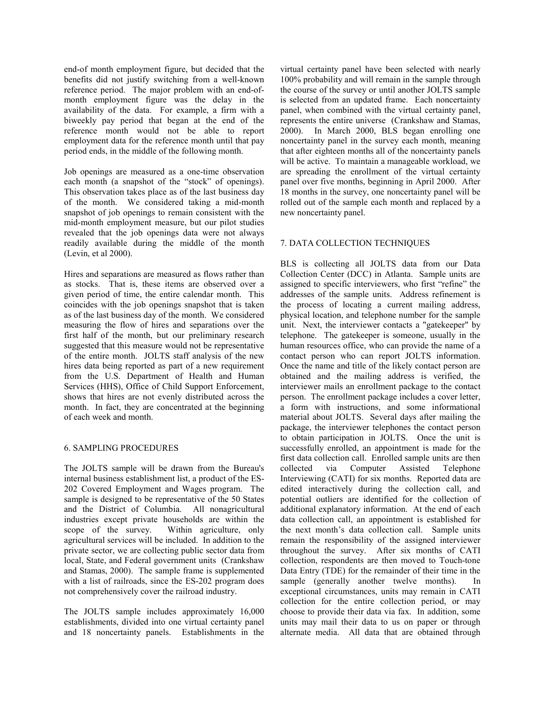end-of month employment figure, but decided that the benefits did not justify switching from a well-known reference period. The major problem with an end-ofmonth employment figure was the delay in the availability of the data. For example, a firm with a biweekly pay period that began at the end of the reference month would not be able to report employment data for the reference month until that pay period ends, in the middle of the following month.

Job openings are measured as a one-time observation each month (a snapshot of the "stock" of openings). This observation takes place as of the last business day of the month. We considered taking a mid-month snapshot of job openings to remain consistent with the mid-month employment measure, but our pilot studies revealed that the job openings data were not always readily available during the middle of the month (Levin, et al 2000).

Hires and separations are measured as flows rather than as stocks. That is, these items are observed over a given period of time, the entire calendar month. This coincides with the job openings snapshot that is taken as of the last business day of the month. We considered measuring the flow of hires and separations over the first half of the month, but our preliminary research suggested that this measure would not be representative of the entire month. JOLTS staff analysis of the new hires data being reported as part of a new requirement from the U.S. Department of Health and Human Services (HHS), Office of Child Support Enforcement, shows that hires are not evenly distributed across the month. In fact, they are concentrated at the beginning of each week and month.

# 6. SAMPLING PROCEDURES

The JOLTS sample will be drawn from the Bureau's internal business establishment list, a product of the ES-202 Covered Employment and Wages program. The sample is designed to be representative of the 50 States and the District of Columbia. All nonagricultural industries except private households are within the scope of the survey. Within agriculture, only agricultural services will be included. In addition to the private sector, we are collecting public sector data from local, State, and Federal government units (Crankshaw and Stamas, 2000). The sample frame is supplemented with a list of railroads, since the ES-202 program does not comprehensively cover the railroad industry.

The JOLTS sample includes approximately 16,000 establishments, divided into one virtual certainty panel and 18 noncertainty panels. Establishments in the virtual certainty panel have been selected with nearly 100% probability and will remain in the sample through the course of the survey or until another JOLTS sample is selected from an updated frame. Each noncertainty panel, when combined with the virtual certainty panel, represents the entire universe (Crankshaw and Stamas, 2000). In March 2000, BLS began enrolling one noncertainty panel in the survey each month, meaning that after eighteen months all of the noncertainty panels will be active. To maintain a manageable workload, we are spreading the enrollment of the virtual certainty panel over five months, beginning in April 2000. After 18 months in the survey, one noncertainty panel will be rolled out of the sample each month and replaced by a new noncertainty panel.

## 7. DATA COLLECTION TECHNIQUES

BLS is collecting all JOLTS data from our Data Collection Center (DCC) in Atlanta. Sample units are assigned to specific interviewers, who first "refine" the addresses of the sample units. Address refinement is the process of locating a current mailing address, physical location, and telephone number for the sample unit. Next, the interviewer contacts a "gatekeeper" by telephone. The gatekeeper is someone, usually in the human resources office, who can provide the name of a contact person who can report JOLTS information. Once the name and title of the likely contact person are obtained and the mailing address is verified, the interviewer mails an enrollment package to the contact person. The enrollment package includes a cover letter, a form with instructions, and some informational material about JOLTS. Several days after mailing the package, the interviewer telephones the contact person to obtain participation in JOLTS. Once the unit is successfully enrolled, an appointment is made for the first data collection call. Enrolled sample units are then collected via Computer Assisted Telephone Interviewing (CATI) for six months. Reported data are edited interactively during the collection call, and potential outliers are identified for the collection of additional explanatory information. At the end of each data collection call, an appointment is established for the next month's data collection call. Sample units remain the responsibility of the assigned interviewer throughout the survey. After six months of CATI collection, respondents are then moved to Touch-tone Data Entry (TDE) for the remainder of their time in the sample (generally another twelve months). In exceptional circumstances, units may remain in CATI collection for the entire collection period, or may choose to provide their data via fax. In addition, some units may mail their data to us on paper or through alternate media. All data that are obtained through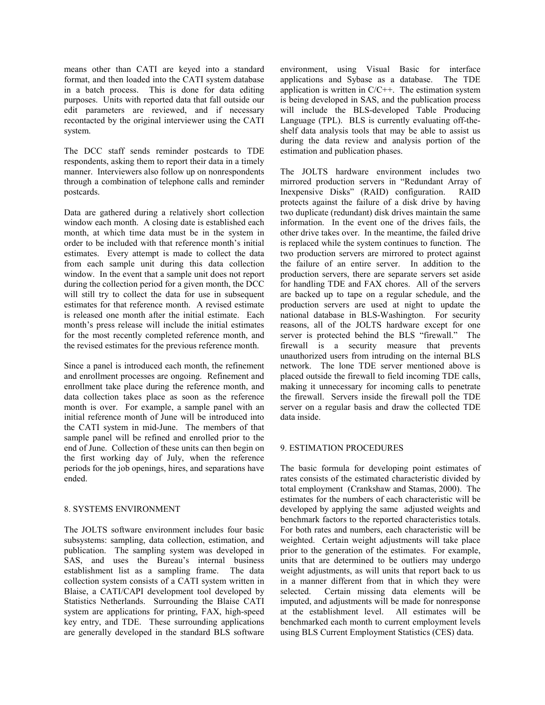means other than CATI are keyed into a standard format, and then loaded into the CATI system database in a batch process. This is done for data editing purposes. Units with reported data that fall outside our edit parameters are reviewed, and if necessary recontacted by the original interviewer using the CATI system.

The DCC staff sends reminder postcards to TDE respondents, asking them to report their data in a timely manner. Interviewers also follow up on nonrespondents through a combination of telephone calls and reminder postcards.

Data are gathered during a relatively short collection window each month. A closing date is established each month, at which time data must be in the system in order to be included with that reference month's initial estimates. Every attempt is made to collect the data from each sample unit during this data collection window. In the event that a sample unit does not report during the collection period for a given month, the DCC will still try to collect the data for use in subsequent estimates for that reference month. A revised estimate is released one month after the initial estimate. Each month's press release will include the initial estimates for the most recently completed reference month, and the revised estimates for the previous reference month.

Since a panel is introduced each month, the refinement and enrollment processes are ongoing. Refinement and enrollment take place during the reference month, and data collection takes place as soon as the reference month is over. For example, a sample panel with an initial reference month of June will be introduced into the CATI system in mid-June. The members of that sample panel will be refined and enrolled prior to the end of June. Collection of these units can then begin on the first working day of July, when the reference periods for the job openings, hires, and separations have ended.

# 8. SYSTEMS ENVIRONMENT

The JOLTS software environment includes four basic subsystems: sampling, data collection, estimation, and publication. The sampling system was developed in SAS, and uses the Bureau's internal business establishment list as a sampling frame. The data collection system consists of a CATI system written in Blaise, a CATI/CAPI development tool developed by Statistics Netherlands. Surrounding the Blaise CATI system are applications for printing, FAX, high-speed key entry, and TDE. These surrounding applications are generally developed in the standard BLS software environment, using Visual Basic for interface applications and Sybase as a database. The TDE application is written in C/C++. The estimation system is being developed in SAS, and the publication process will include the BLS-developed Table Producing Language (TPL). BLS is currently evaluating off-theshelf data analysis tools that may be able to assist us during the data review and analysis portion of the estimation and publication phases.

The JOLTS hardware environment includes two mirrored production servers in "Redundant Array of Inexpensive Disks" (RAID) configuration. RAID protects against the failure of a disk drive by having two duplicate (redundant) disk drives maintain the same information. In the event one of the drives fails, the other drive takes over. In the meantime, the failed drive is replaced while the system continues to function. The two production servers are mirrored to protect against the failure of an entire server. In addition to the production servers, there are separate servers set aside for handling TDE and FAX chores. All of the servers are backed up to tape on a regular schedule, and the production servers are used at night to update the national database in BLS-Washington. For security reasons, all of the JOLTS hardware except for one server is protected behind the BLS "firewall." The firewall is a security measure that prevents unauthorized users from intruding on the internal BLS network. The lone TDE server mentioned above is placed outside the firewall to field incoming TDE calls, making it unnecessary for incoming calls to penetrate the firewall. Servers inside the firewall poll the TDE server on a regular basis and draw the collected TDE data inside.

# 9. ESTIMATION PROCEDURES

The basic formula for developing point estimates of rates consists of the estimated characteristic divided by total employment (Crankshaw and Stamas, 2000). The estimates for the numbers of each characteristic will be developed by applying the same adjusted weights and benchmark factors to the reported characteristics totals. For both rates and numbers, each characteristic will be weighted. Certain weight adjustments will take place prior to the generation of the estimates. For example, units that are determined to be outliers may undergo weight adjustments, as will units that report back to us in a manner different from that in which they were selected. Certain missing data elements will be imputed, and adjustments will be made for nonresponse at the establishment level. All estimates will be benchmarked each month to current employment levels using BLS Current Employment Statistics (CES) data.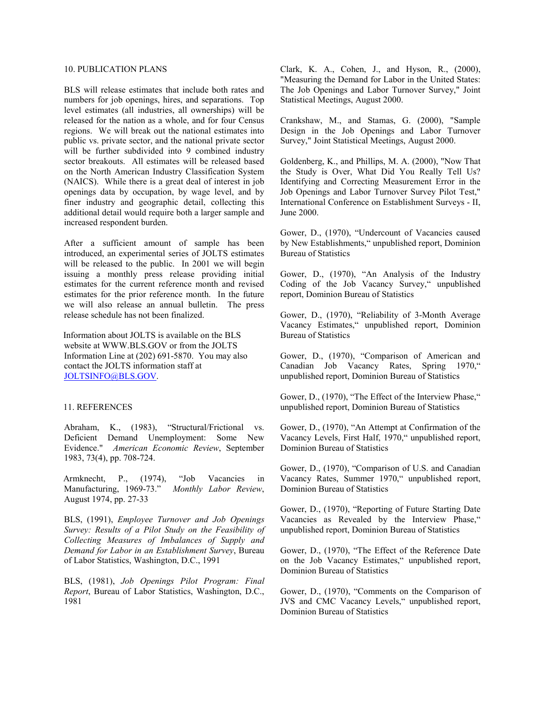## 10. PUBLICATION PLANS

BLS will release estimates that include both rates and numbers for job openings, hires, and separations. Top level estimates (all industries, all ownerships) will be released for the nation as a whole, and for four Census regions. We will break out the national estimates into public vs. private sector, and the national private sector will be further subdivided into 9 combined industry sector breakouts. All estimates will be released based on the North American Industry Classification System (NAICS). While there is a great deal of interest in job openings data by occupation, by wage level, and by finer industry and geographic detail, collecting this additional detail would require both a larger sample and increased respondent burden.

After a sufficient amount of sample has been introduced, an experimental series of JOLTS estimates will be released to the public. In 2001 we will begin issuing a monthly press release providing initial estimates for the current reference month and revised estimates for the prior reference month. In the future we will also release an annual bulletin. The press release schedule has not been finalized.

Information about JOLTS is available on the BLS website at WWW.BLS.GOV or from the JOLTS Information Line at (202) 691-5870. You may also contact the JOLTS information staff at JOLTSINFO@BLS.GOV.

### 11. REFERENCES

Abraham, K., (1983), "Structural/Frictional vs. Deficient Demand Unemployment: Some New Evidence." *American Economic Review*, September 1983, 73(4), pp. 708-724.

Armknecht, P., (1974), "Job Vacancies in Manufacturing, 1969-73." *Monthly Labor Review*, August 1974, pp. 27-33

BLS, (1991), *Employee Turnover and Job Openings Survey: Results of a Pilot Study on the Feasibility of Collecting Measures of Imbalances of Supply and Demand for Labor in an Establishment Survey*, Bureau of Labor Statistics, Washington, D.C., 1991

BLS, (1981), *Job Openings Pilot Program: Final Report*, Bureau of Labor Statistics, Washington, D.C., 1981

Clark, K. A., Cohen, J., and Hyson, R., (2000), "Measuring the Demand for Labor in the United States: The Job Openings and Labor Turnover Survey," Joint Statistical Meetings, August 2000.

Crankshaw, M., and Stamas, G. (2000), "Sample Design in the Job Openings and Labor Turnover Survey," Joint Statistical Meetings, August 2000.

Goldenberg, K., and Phillips, M. A. (2000), "Now That the Study is Over, What Did You Really Tell Us? Identifying and Correcting Measurement Error in the Job Openings and Labor Turnover Survey Pilot Test," International Conference on Establishment Surveys - II, June 2000.

Gower, D., (1970), "Undercount of Vacancies caused by New Establishments," unpublished report, Dominion Bureau of Statistics

Gower, D., (1970), "An Analysis of the Industry Coding of the Job Vacancy Survey," unpublished report, Dominion Bureau of Statistics

Gower, D., (1970), "Reliability of 3-Month Average Vacancy Estimates," unpublished report, Dominion Bureau of Statistics

Gower, D., (1970), "Comparison of American and Canadian Job Vacancy Rates, Spring 1970," unpublished report, Dominion Bureau of Statistics

Gower, D., (1970), "The Effect of the Interview Phase," unpublished report, Dominion Bureau of Statistics

Gower, D., (1970), "An Attempt at Confirmation of the Vacancy Levels, First Half, 1970," unpublished report, Dominion Bureau of Statistics

Gower, D., (1970), "Comparison of U.S. and Canadian Vacancy Rates, Summer 1970," unpublished report, Dominion Bureau of Statistics

Gower, D., (1970), "Reporting of Future Starting Date Vacancies as Revealed by the Interview Phase," unpublished report, Dominion Bureau of Statistics

Gower, D., (1970), "The Effect of the Reference Date on the Job Vacancy Estimates," unpublished report, Dominion Bureau of Statistics

Gower, D., (1970), "Comments on the Comparison of JVS and CMC Vacancy Levels," unpublished report, Dominion Bureau of Statistics